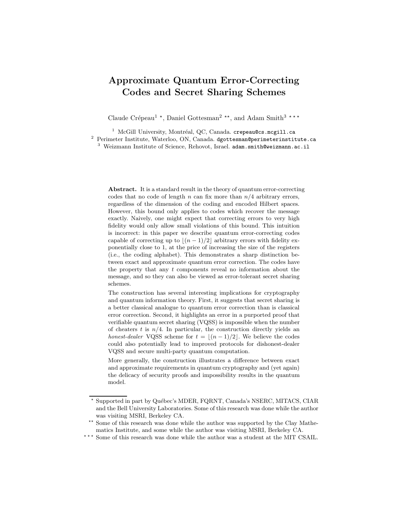# Approximate Quantum Error-Correcting Codes and Secret Sharing Schemes

Claude Crépeau<sup>1</sup><sup>\*</sup>, Daniel Gottesman<sup>2</sup><sup>\*\*</sup>, and Adam Smith<sup>3</sup><sup>\*\*\*</sup>

 $1$  McGill University, Montréal, QC, Canada. crepeau@cs.mcgill.ca <sup>2</sup> Perimeter Institute, Waterloo, ON, Canada. dgottesman@perimeterinstitute.ca <sup>3</sup> Weizmann Institute of Science, Rehovot, Israel. adam.smith@weizmann.ac.il

Abstract. It is a standard result in the theory of quantum error-correcting codes that no code of length  $n$  can fix more than  $n/4$  arbitrary errors, regardless of the dimension of the coding and encoded Hilbert spaces. However, this bound only applies to codes which recover the message exactly. Naively, one might expect that correcting errors to very high fidelity would only allow small violations of this bound. This intuition is incorrect: in this paper we describe quantum error-correcting codes capable of correcting up to  $|(n - 1)/2|$  arbitrary errors with fidelity exponentially close to 1, at the price of increasing the size of the registers (i.e., the coding alphabet). This demonstrates a sharp distinction between exact and approximate quantum error correction. The codes have the property that any  $t$  components reveal no information about the message, and so they can also be viewed as error-tolerant secret sharing schemes.

The construction has several interesting implications for cryptography and quantum information theory. First, it suggests that secret sharing is a better classical analogue to quantum error correction than is classical error correction. Second, it highlights an error in a purported proof that verifiable quantum secret sharing (VQSS) is impossible when the number of cheaters t is  $n/4$ . In particular, the construction directly yields an honest-dealer VQSS scheme for  $t = \lfloor (n - 1)/2 \rfloor$ . We believe the codes could also potentially lead to improved protocols for dishonest-dealer VQSS and secure multi-party quantum computation.

More generally, the construction illustrates a difference between exact and approximate requirements in quantum cryptography and (yet again) the delicacy of security proofs and impossibility results in the quantum model.

 $^{\star\;\star\;\star}$  Some of this research was done while the author was a student at the MIT CSAIL.

<sup>\*</sup> Supported in part by Québec's MDER, FQRNT, Canada's NSERC, MITACS, CIAR and the Bell University Laboratories. Some of this research was done while the author was visiting MSRI, Berkeley CA.

 $^{\star\star}$  Some of this research was done while the author was supported by the Clay Mathematics Institute, and some while the author was visiting MSRI, Berkeley CA.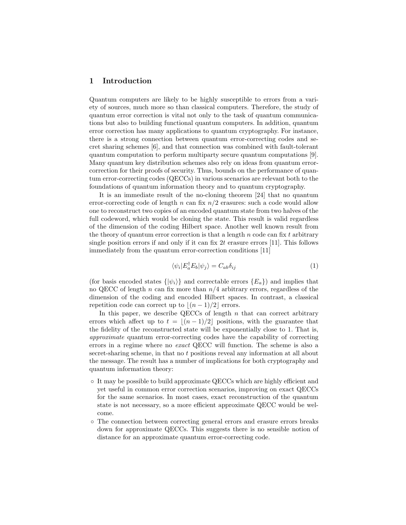## 1 Introduction

Quantum computers are likely to be highly susceptible to errors from a variety of sources, much more so than classical computers. Therefore, the study of quantum error correction is vital not only to the task of quantum communications but also to building functional quantum computers. In addition, quantum error correction has many applications to quantum cryptography. For instance, there is a strong connection between quantum error-correcting codes and secret sharing schemes [6], and that connection was combined with fault-tolerant quantum computation to perform multiparty secure quantum computations [9]. Many quantum key distribution schemes also rely on ideas from quantum errorcorrection for their proofs of security. Thus, bounds on the performance of quantum error-correcting codes (QECCs) in various scenarios are relevant both to the foundations of quantum information theory and to quantum cryptography.

It is an immediate result of the no-cloning theorem [24] that no quantum error-correcting code of length n can fix  $n/2$  erasures: such a code would allow one to reconstruct two copies of an encoded quantum state from two halves of the full codeword, which would be cloning the state. This result is valid regardless of the dimension of the coding Hilbert space. Another well known result from the theory of quantum error correction is that a length  $n$  code can fix t arbitrary single position errors if and only if it can fix  $2t$  erasure errors [11]. This follows immediately from the quantum error-correction conditions [11]

$$
\langle \psi_i | E_a^{\dagger} E_b | \psi_j \rangle = C_{ab} \delta_{ij} \tag{1}
$$

(for basis encoded states  $\{|\psi_i\rangle\}$  and correctable errors  $\{E_a\}$ ) and implies that no QECC of length n can fix more than  $n/4$  arbitrary errors, regardless of the dimension of the coding and encoded Hilbert spaces. In contrast, a classical repetition code can correct up to  $|(n - 1)/2|$  errors.

In this paper, we describe QECCs of length  $n$  that can correct arbitrary errors which affect up to  $t = \lfloor (n - 1)/2 \rfloor$  positions, with the guarantee that the fidelity of the reconstructed state will be exponentially close to 1. That is, approximate quantum error-correcting codes have the capability of correcting errors in a regime where no exact QECC will function. The scheme is also a secret-sharing scheme, in that no t positions reveal any information at all about the message. The result has a number of implications for both cryptography and quantum information theory:

- It may be possible to build approximate QECCs which are highly efficient and yet useful in common error correction scenarios, improving on exact QECCs for the same scenarios. In most cases, exact reconstruction of the quantum state is not necessary, so a more efficient approximate QECC would be welcome.
- The connection between correcting general errors and erasure errors breaks down for approximate QECCs. This suggests there is no sensible notion of distance for an approximate quantum error-correcting code.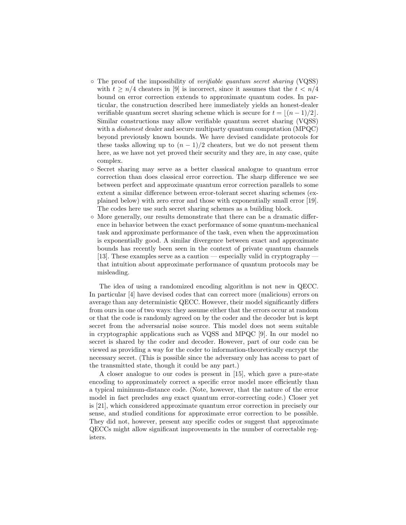- The proof of the impossibility of verifiable quantum secret sharing (VQSS) with  $t \geq n/4$  cheaters in [9] is incorrect, since it assumes that the  $t < n/4$ bound on error correction extends to approximate quantum codes. In particular, the construction described here immediately yields an honest-dealer verifiable quantum secret sharing scheme which is secure for  $t = \lfloor (n - 1)/2 \rfloor$ . Similar constructions may allow verifiable quantum secret sharing (VQSS) with a *dishonest* dealer and secure multiparty quantum computation (MPQC) beyond previously known bounds. We have devised candidate protocols for these tasks allowing up to  $(n - 1)/2$  cheaters, but we do not present them here, as we have not yet proved their security and they are, in any case, quite complex.
- Secret sharing may serve as a better classical analogue to quantum error correction than does classical error correction. The sharp difference we see between perfect and approximate quantum error correction parallels to some extent a similar difference between error-tolerant secret sharing schemes (explained below) with zero error and those with exponentially small error [19]. The codes here use such secret sharing schemes as a building block.
- More generally, our results demonstrate that there can be a dramatic difference in behavior between the exact performance of some quantum-mechanical task and approximate performance of the task, even when the approximation is exponentially good. A similar divergence between exact and approximate bounds has recently been seen in the context of private quantum channels [13]. These examples serve as a caution — especially valid in cryptography that intuition about approximate performance of quantum protocols may be misleading.

The idea of using a randomized encoding algorithm is not new in QECC. In particular [4] have devised codes that can correct more (malicious) errors on average than any deterministic QECC. However, their model significantly differs from ours in one of two ways: they assume either that the errors occur at random or that the code is randomly agreed on by the coder and the decoder but is kept secret from the adversarial noise source. This model does not seem suitable in cryptographic applications such as VQSS and MPQC [9]. In our model no secret is shared by the coder and decoder. However, part of our code can be viewed as providing a way for the coder to information-theoretically encrypt the necessary secret. (This is possible since the adversary only has access to part of the transmitted state, though it could be any part.)

A closer analogue to our codes is present in [15], which gave a pure-state encoding to approximately correct a specific error model more efficiently than a typical minimum-distance code. (Note, however, that the nature of the error model in fact precludes any exact quantum error-correcting code.) Closer yet is [21], which considered approximate quantum error correction in precisely our sense, and studied conditions for approximate error correction to be possible. They did not, however, present any specific codes or suggest that approximate QECCs might allow significant improvements in the number of correctable registers.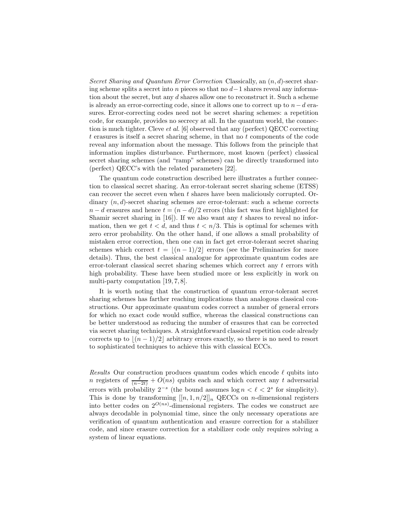Secret Sharing and Quantum Error Correction Classically, an  $(n, d)$ -secret sharing scheme splits a secret into n pieces so that no  $d-1$  shares reveal any information about the secret, but any d shares allow one to reconstruct it. Such a scheme is already an error-correcting code, since it allows one to correct up to  $n-d$  erasures. Error-correcting codes need not be secret sharing schemes: a repetition code, for example, provides no secrecy at all. In the quantum world, the connection is much tighter. Cleve *et al.* [6] observed that any (perfect) QECC correcting t erasures is itself a secret sharing scheme, in that no t components of the code reveal any information about the message. This follows from the principle that information implies disturbance. Furthermore, most known (perfect) classical secret sharing schemes (and "ramp" schemes) can be directly transformed into (perfect) QECC's with the related parameters [22].

The quantum code construction described here illustrates a further connection to classical secret sharing. An error-tolerant secret sharing scheme (ETSS) can recover the secret even when  $t$  shares have been maliciously corrupted. Ordinary  $(n, d)$ -secret sharing schemes are error-tolerant: such a scheme corrects  $n - d$  erasures and hence  $t = (n - d)/2$  errors (this fact was first highlighted for Shamir secret sharing in  $[16]$ . If we also want any t shares to reveal no information, then we get  $t < d$ , and thus  $t < n/3$ . This is optimal for schemes with zero error probability. On the other hand, if one allows a small probability of mistaken error correction, then one can in fact get error-tolerant secret sharing schemes which correct  $t = \lfloor (n - 1)/2 \rfloor$  errors (see the Preliminaries for more details). Thus, the best classical analogue for approximate quantum codes are error-tolerant classical secret sharing schemes which correct any  $t$  errors with high probability. These have been studied more or less explicitly in work on multi-party computation [19, 7, 8].

It is worth noting that the construction of quantum error-tolerant secret sharing schemes has farther reaching implications than analogous classical constructions. Our approximate quantum codes correct a number of general errors for which no exact code would suffice, whereas the classical constructions can be better understood as reducing the number of erasures that can be corrected via secret sharing techniques. A straightforward classical repetition code already corrects up to  $|(n - 1)/2|$  arbitrary errors exactly, so there is no need to resort to sophisticated techniques to achieve this with classical ECCs.

Results Our construction produces quantum codes which encode  $\ell$  qubits into n registers of  $\frac{\ell}{(n-2t)} + O(ns)$  qubits each and which correct any t adversarial errors with probability  $2^{-s}$  (the bound assumes  $\log n < \ell < 2^s$  for simplicity). This is done by transforming  $[[n, 1, n/2]]_n$  QECCs on *n*-dimensional registers into better codes on  $2^{O(ns)}$ -dimensional registers. The codes we construct are always decodable in polynomial time, since the only necessary operations are verification of quantum authentication and erasure correction for a stabilizer code, and since erasure correction for a stabilizer code only requires solving a system of linear equations.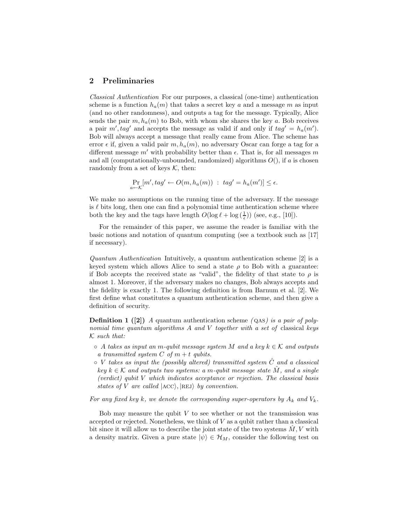## 2 Preliminaries

Classical Authentication For our purposes, a classical (one-time) authentication scheme is a function  $h_a(m)$  that takes a secret key a and a message m as input (and no other randomness), and outputs a tag for the message. Typically, Alice sends the pair  $m, h_a(m)$  to Bob, with whom she shares the key a. Bob receives a pair  $m', tag'$  and accepts the message as valid if and only if  $tag' = h<sub>a</sub>(m')$ . Bob will always accept a message that really came from Alice. The scheme has error  $\epsilon$  if, given a valid pair  $m, h_a(m)$ , no adversary Oscar can forge a tag for a different message m' with probability better than  $\epsilon$ . That is, for all messages m and all (computationally-unbounded, randomized) algorithms  $O($ ), if a is chosen randomly from a set of keys  $K$ , then:

$$
\Pr_{a \leftarrow \mathcal{K}}[m', tag' \leftarrow O(m, h_a(m)) : tag' = h_a(m')] \le \epsilon.
$$

We make no assumptions on the running time of the adversary. If the message is  $\ell$  bits long, then one can find a polynomial time authentication scheme where both the key and the tags have length  $O(\log \ell + \log (\frac{1}{\epsilon}))$  (see, e.g., [10]).

For the remainder of this paper, we assume the reader is familiar with the basic notions and notation of quantum computing (see a textbook such as [17] if necessary).

Quantum Authentication Intuitively, a quantum authentication scheme [2] is a keyed system which allows Alice to send a state  $\rho$  to Bob with a guarantee: if Bob accepts the received state as "valid", the fidelity of that state to  $\rho$  is almost 1. Moreover, if the adversary makes no changes, Bob always accepts and the fidelity is exactly 1. The following definition is from Barnum et al. [2]. We first define what constitutes a quantum authentication scheme, and then give a definition of security.

**Definition 1** ([2]) A quantum authentication scheme  $(QAS)$  is a pair of polynomial time quantum algorithms A and V together with a set of classical keys  $K$  such that:

- $\circ$  A takes as input an m-qubit message system M and a key  $k \in \mathcal{K}$  and outputs a transmitted system  $C$  of  $m + t$  qubits.
- $\circ$  V takes as input the (possibly altered) transmitted system  $\ddot{C}$  and a classical key  $k \in \mathcal{K}$  and outputs two systems: a m-qubit message state  $\tilde{M}$ , and a single (verdict) qubit V which indicates acceptance or rejection. The classical basis states of V are called  $|ACC\rangle$ ,  $|REJ\rangle$  by convention.

For any fixed key k, we denote the corresponding super-operators by  $A_k$  and  $V_k$ .

Bob may measure the qubit  $V$  to see whether or not the transmission was accepted or rejected. Nonetheless, we think of V as a qubit rather than a classical bit since it will allow us to describe the joint state of the two systems  $\tilde{M}$ , V with a density matrix. Given a pure state  $|\psi\rangle \in \mathcal{H}_M$ , consider the following test on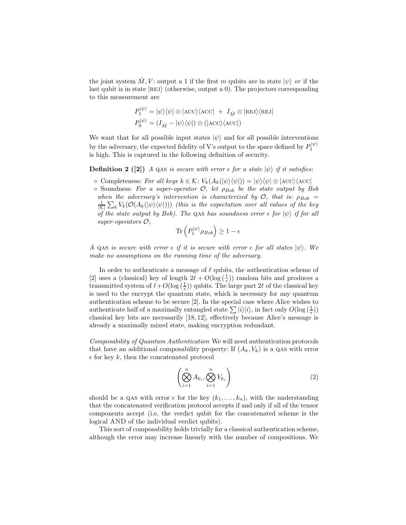the joint system  $\hat{M}$ , V: output a 1 if the first m qubits are in state  $|\psi\rangle$  or if the last qubit is in state  $|REJ\rangle$  (otherwise, output a 0). The projectors corresponding to this measurement are

$$
\begin{split} P_1^{|\psi\rangle} &= |\psi\rangle\langle\psi| \otimes |\text{ACC}\rangle\langle\text{ACC}| \ + \ I_{\hat{M}} \otimes |\text{rel}\rangle\langle\text{rel}| \\ P_0^{|\psi\rangle} &= (I_{\hat{M}} - |\psi\rangle\langle\psi|) \otimes (|\text{ACC}\rangle\langle\text{ACC}|) \end{split}
$$

We want that for all possible input states  $|\psi\rangle$  and for all possible interventions by the adversary, the expected fidelity of V's output to the space defined by  $P_1^{|\psi\rangle}$ is high. This is captured in the following definition of security.

**Definition 2** ([2]) A QAS is secure with error  $\epsilon$  for a state  $|\psi\rangle$  if it satisfies:

- $\circ$  Completeness: For all keys  $k \in \mathcal{K}$ :  $V_k(A_k(|\psi\rangle\langle\psi|)) = |\psi\rangle\langle\psi| \otimes |\text{ACC}\rangle\langle\text{ACC}|$
- $\circ$  Soundness: For a super-operator  $\mathcal{O}$ , let  $\rho_{Bob}$  be the state output by Bob when the adversary's intervention is characterized by  $\mathcal{O}$ , that is:  $\rho_{Bob}$  =  $\frac{1}{|\mathcal{K}|}\sum_{k}V_{k}(\mathcal{O}(A_{k}(|\psi\rangle\langle\psi|)))$  (this is the expectation over all values of the key of the state output by Bob). The QAS has soundness error  $\epsilon$  for  $|\psi\rangle$  if for all super-operators O,

$$
\text{Tr}\left(P_1^{|\psi\rangle}\rho_{Bob}\right) \ge 1 - \epsilon
$$

A QAS is secure with error  $\epsilon$  if it is secure with error  $\epsilon$  for all states  $|\psi\rangle$ . We make no assumptions on the running time of the adversary.

In order to authenticate a message of  $\ell$  qubits, the authentication scheme of [2] uses a (classical) key of length  $2\ell + O(\log(\frac{1}{\epsilon}))$  random bits and produces a transmitted system of  $\ell + O(\log(\frac{1}{\epsilon}))$  qubits. The large part 2 $\ell$  of the classical key is used to the encrypt the quantum state, which is necessary for any quantum authentication scheme to be secure [2]. In the special case where Alice wishes to authenticate half of a maximally entangled state  $\sum |i\rangle|i\rangle$ , in fact only  $O(\log{(\frac{1}{\epsilon})})$ classical key bits are necessarily [18, 12], effectively because Alice's message is already a maximally mixed state, making encryption redundant.

Composability of Quantum Authentication We will need authentication protocols that have an additional composability property: If  $(A_k, V_k)$  is a QAS with error  $\epsilon$  for key k, then the concatenated protocol

$$
\left(\bigotimes_{i=1}^{n} A_{k_i}, \bigotimes_{i=1}^{n} V_{k_i}\right) \tag{2}
$$

should be a QAS with error  $\epsilon$  for the key  $(k_1, \ldots, k_n)$ , with the understanding that the concatenated verification protocol accepts if and only if all of the tensor components accept (i.e. the verdict qubit for the concatenated scheme is the logical AND of the individual verdict qubits).

This sort of composability holds trivially for a classical authentication scheme, although the error may increase linearly with the number of compositions. We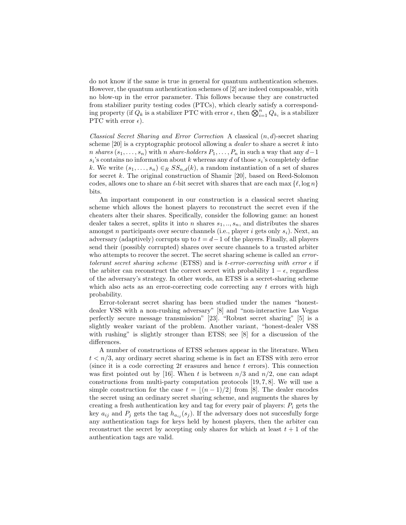do not know if the same is true in general for quantum authentication schemes. However, the quantum authentication schemes of [2] are indeed composable, with no blow-up in the error parameter. This follows because they are constructed from stabilizer purity testing codes (PTCs), which clearly satisfy a corresponding property (if  $Q_k$  is a stabilizer PTC with error  $\epsilon$ , then  $\bigotimes_{i=1}^n Q_{k_i}$  is a stabilizer PTC with error  $\epsilon$ ).

Classical Secret Sharing and Error Correction A classical  $(n, d)$ -secret sharing scheme  $[20]$  is a cryptographic protocol allowing a *dealer* to share a secret k into *n* shares  $(s_1, \ldots, s_n)$  with *n* share-holders  $P_1, \ldots, P_n$  in such a way that any  $d-1$  $s_i$ 's contains no information about k whereas any d of those  $s_i$ 's completely define k. We write  $(s_1, \ldots, s_n) \in_R SS_{n,d}(k)$ , a random instantiation of a set of shares for secret k. The original construction of Shamir [20], based on Reed-Solomon codes, allows one to share an  $\ell$ -bit secret with shares that are each max  $\{\ell, \log n\}$ bits.

An important component in our construction is a classical secret sharing scheme which allows the honest players to reconstruct the secret even if the cheaters alter their shares. Specifically, consider the following game: an honest dealer takes a secret, splits it into n shares  $s_1, \ldots, s_n$ , and distributes the shares amongst n participants over secure channels (i.e., player i gets only  $s_i$ ). Next, an adversary (adaptively) corrupts up to  $t = d-1$  of the players. Finally, all players send their (possibly corrupted) shares over secure channels to a trusted arbiter who attempts to recover the secret. The secret sharing scheme is called an *error*tolerant secret sharing scheme (ETSS) and is t-error-correcting with error  $\epsilon$  if the arbiter can reconstruct the correct secret with probability  $1 - \epsilon$ , regardless of the adversary's strategy. In other words, an ETSS is a secret-sharing scheme which also acts as an error-correcting code correcting any  $t$  errors with high probability.

Error-tolerant secret sharing has been studied under the names "honestdealer VSS with a non-rushing adversary" [8] and "non-interactive Las Vegas perfectly secure message transmission" [23]. "Robust secret sharing" [5] is a slightly weaker variant of the problem. Another variant, "honest-dealer VSS with rushing" is slightly stronger than ETSS; see [8] for a discussion of the differences.

A number of constructions of ETSS schemes appear in the literature. When  $t < n/3$ , any ordinary secret sharing scheme is in fact an ETSS with zero error (since it is a code correcting  $2t$  erasures and hence t errors). This connection was first pointed out by [16]. When t is between  $n/3$  and  $n/2$ , one can adapt constructions from multi-party computation protocols [19, 7, 8]. We will use a simple construction for the case  $t = \lfloor (n - 1)/2 \rfloor$  from [8]. The dealer encodes the secret using an ordinary secret sharing scheme, and augments the shares by creating a fresh authentication key and tag for every pair of players:  $P_i$  gets the key  $a_{ij}$  and  $P_j$  gets the tag  $h_{a_{ij}}(s_j)$ . If the adversary does not succesfully forge any authentication tags for keys held by honest players, then the arbiter can reconstruct the secret by accepting only shares for which at least  $t + 1$  of the authentication tags are valid.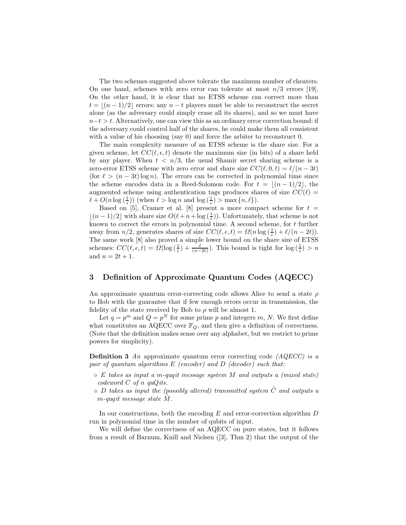The two schemes suggested above tolerate the maximum number of cheaters. On one hand, schemes with zero error can tolerate at most  $n/3$  errors [19]. On the other hand, it is clear that no ETSS scheme can correct more than  $t = \lfloor (n - 1)/2 \rfloor$  errors: any  $n - t$  players must be able to reconstruct the secret alone (as the adversary could simply erase all its shares), and so we must have  $n-t > t$ . Alternatively, one can view this as an ordinary error correction bound: if the adversary could control half of the shares, he could make them all consistent with a value of his choosing (say 0) and force the arbiter to reconstruct 0.

The main complexity measure of an ETSS scheme is the share size. For a given scheme, let  $CC(\ell, \epsilon, t)$  denote the maximum size (in bits) of a share held by any player. When  $t < n/3$ , the usual Shamir secret sharing scheme is a zero-error ETSS scheme with zero error and share size  $CC(\ell, 0, t) = \ell/(n - 3t)$ (for  $\ell > (n - 3t) \log n$ ). The errors can be corrected in polynomial time since the scheme encodes data in a Reed-Solomon code. For  $t = |(n - 1)/2|$ , the augmented scheme using authentication tags produces shares of size  $CC(\ell)$  =  $\ell + O(n \log(\frac{1}{\epsilon}))$  (when  $\ell > \log n$  and  $\log(\frac{1}{\epsilon}) > \max\{n, \ell\}$ ).

Based on [5], Cramer et al. [8] present a more compact scheme for  $t =$  $\lfloor (n-1)/2 \rfloor$  with share size  $O(\ell + n + \log(\frac{1}{\epsilon}))$ . Unfortunately, that scheme is not known to correct the errors in polynomial time. A second scheme, for t further away from  $n/2$ , generates shares of size  $CC(\ell, \epsilon, t) = \Omega(n \log(\frac{1}{\epsilon}) + \ell/(n - 2t)).$ The same work [8] also proved a simple lower bound on the share size of ETSS schemes:  $CC(\ell, \epsilon, t) = \Omega(\log(\frac{1}{\epsilon}) + \frac{\ell}{(n-2t)})$ . This bound is tight for  $\log(\frac{1}{\epsilon}) > n$ and  $n = 2t + 1$ .

# 3 Definition of Approximate Quantum Codes (AQECC)

An approximate quantum error-correcting code allows Alice to send a state  $\rho$ to Bob with the guarantee that if few enough errors occur in transmission, the fidelity of the state received by Bob to  $\rho$  will be almost 1.

Let  $q = p^m$  and  $Q = p^N$  for some prime p and integers m, N. We first define what constitutes an AQECC over  $\mathbb{F}_Q$ , and then give a definition of correctness. (Note that the definition makes sense over any alphabet, but we restrict to prime powers for simplicity).

**Definition 3** An approximate quantum error correcting code  $(AQECC)$  is a pair of quantum algorithms  $E$  (encoder) and  $D$  (decoder) such that:

- $\circ$  E takes as input a m-quqit message system M and outputs a (mixed state) codeword  $C$  of n quQits.
- $\circ$  D takes as input the (possibly altered) transmitted system  $\hat{C}$  and outputs a  $m$ -quqit message state  $M$ .

In our constructions, both the encoding E and error-correction algorithm D run in polynomial time in the number of qubits of input.

We will define the correctness of an AQECC on pure states, but it follows from a result of Barnum, Knill and Nielsen ([3], Thm 2) that the output of the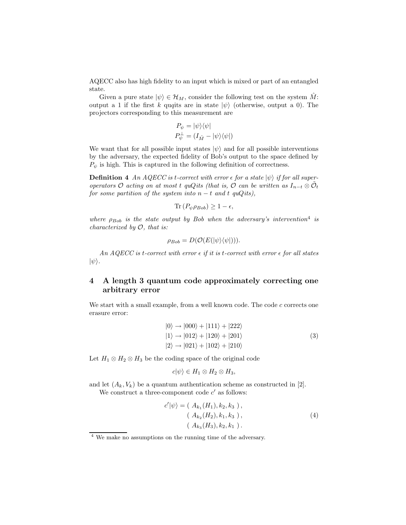AQECC also has high fidelity to an input which is mixed or part of an entangled state.

Given a pure state  $|\psi\rangle \in \mathcal{H}_M$ , consider the following test on the system  $\tilde{M}$ : output a 1 if the first k quqits are in state  $|\psi\rangle$  (otherwise, output a 0). The projectors corresponding to this measurement are

$$
P_{\psi} = |\psi\rangle\langle\psi|
$$
  

$$
P_{\psi}^{\perp} = (I_{\hat{M}} - |\psi\rangle\langle\psi|)
$$

We want that for all possible input states  $|\psi\rangle$  and for all possible interventions by the adversary, the expected fidelity of Bob's output to the space defined by  $P_{\psi}$  is high. This is captured in the following definition of correctness.

**Definition 4** An AQECC is t-correct with error  $\epsilon$  for a state  $|\psi\rangle$  if for all superoperators O acting on at most t quQits (that is, O can be written as  $I_{n-t} \otimes \tilde{\mathcal{O}}_t$ for some partition of the system into  $n - t$  and t quQits),

$$
\text{Tr}\left(P_{\psi}\rho_{Bob}\right) \geq 1 - \epsilon,
$$

where  $\rho_{Bob}$  is the state output by Bob when the adversary's intervention<sup>4</sup> is *characterized by*  $O$ *, that is:* 

$$
\rho_{Bob} = D(\mathcal{O}(E(|\psi\rangle\langle\psi|))).
$$

An AQECC is t-correct with error  $\epsilon$  if it is t-correct with error  $\epsilon$  for all states  $|\psi\rangle$ .

# 4 A length 3 quantum code approximately correcting one arbitrary error

We start with a small example, from a well known code. The code  $c$  corrects one erasure error:

$$
|0\rangle \rightarrow |000\rangle + |111\rangle + |222\rangle
$$
  
\n
$$
|1\rangle \rightarrow |012\rangle + |120\rangle + |201\rangle
$$
  
\n
$$
|2\rangle \rightarrow |021\rangle + |102\rangle + |210\rangle
$$
  
\n(3)

Let  $H_1 \otimes H_2 \otimes H_3$  be the coding space of the original code

$$
c|\psi\rangle \in H_1 \otimes H_2 \otimes H_3,
$$

and let  $(A_k, V_k)$  be a quantum authentication scheme as constructed in [2]. We construct a three-component code  $c'$  as follows:

$$
c'|\psi\rangle = (A_{k_1}(H_1), k_2, k_3),
$$
  
\n
$$
(A_{k_2}(H_2), k_1, k_3),
$$
  
\n
$$
(A_{k_3}(H_3), k_2, k_1).
$$
\n(4)

<sup>4</sup> We make no assumptions on the running time of the adversary.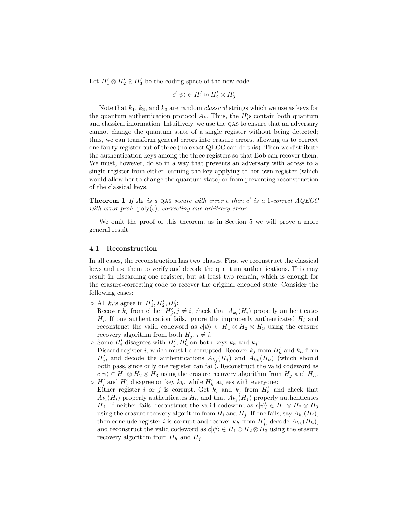Let  $H'_1 \otimes H'_2 \otimes H'_3$  be the coding space of the new code

$$
c'|\psi\rangle \in H'_1 \otimes H'_2 \otimes H'_3
$$

Note that  $k_1, k_2$ , and  $k_3$  are random *classical* strings which we use as keys for the quantum authentication protocol  $A_k$ . Thus, the  $H'_i$ s contain both quantum and classical information. Intuitively, we use the qas to ensure that an adversary cannot change the quantum state of a single register without being detected; thus, we can transform general errors into erasure errors, allowing us to correct one faulty register out of three (no exact QECC can do this). Then we distribute the authentication keys among the three registers so that Bob can recover them. We must, however, do so in a way that prevents an adversary with access to a single register from either learning the key applying to her own register (which would allow her to change the quantum state) or from preventing reconstruction of the classical keys.

**Theorem 1** If  $A_k$  is a QAS secure with error  $\epsilon$  then c' is a 1-correct AQECC with error prob.  $\text{poly}(\epsilon)$ , correcting one arbitrary error.

We omit the proof of this theorem, as in Section 5 we will prove a more general result.

### 4.1 Reconstruction

In all cases, the reconstruction has two phases. First we reconstruct the classical keys and use them to verify and decode the quantum authentications. This may result in discarding one register, but at least two remain, which is enough for the erasure-correcting code to recover the original encoded state. Consider the following cases:

 $\circ$  All  $k_i$ 's agree in  $H'_1, H'_2, H'_3$ :

Recover  $k_i$  from either  $H'_j, j \neq i$ , check that  $A_{k_i}(H_i)$  properly authenticates  $H_i$ . If one authentication fails, ignore the improperly authenticated  $H_i$  and reconstruct the valid codeword as  $c|\psi\rangle \in H_1 \otimes H_2 \otimes H_3$  using the erasure recovery algorithm from both  $H_j, j \neq i$ .

- $\circ$  Some  $H'_i$  disagrees with  $H'_j, H'_h$  on both keys  $k_h$  and  $k_j$ : Discard register *i*, which must be corrupted. Recover  $k_j$  from  $H'_h$  and  $k_h$  from  $H'_{j}$ , and decode the authentications  $A_{k_j}(H_j)$  and  $A_{k_h}(H_h)$  (which should both pass, since only one register can fail). Reconstruct the valid codeword as  $c|\psi\rangle \in H_1 \otimes H_2 \otimes H_3$  using the erasure recovery algorithm from  $H_j$  and  $H_h$ .
- $\circ$   $H'_{i}$  and  $H'_{j}$  disagree on key  $k_h$ , while  $H'_{h}$  agrees with everyone: Either register i or j is corrupt. Get  $k_i$  and  $k_j$  from  $H'_h$  and check that  $A_{k_i}(H_i)$  properly authenticates  $H_i$ , and that  $A_{k_j}(H_j)$  properly authenticates  $H_j$ . If neither fails, reconstruct the valid codeword as  $c|\psi\rangle \in H_1 \otimes H_2 \otimes H_3$ using the erasure recovery algorithm from  $H_i$  and  $H_j$ . If one fails, say  $A_{k_i}(H_i)$ , then conclude register *i* is corrupt and recover  $k_h$  from  $H'_{j}$ , decode  $A_{k_h}(H_h)$ , and reconstruct the valid codeword as  $c|\psi\rangle \in H_1 \otimes H_2 \otimes H_3$  using the erasure recovery algorithm from  $H_h$  and  $H_j$ .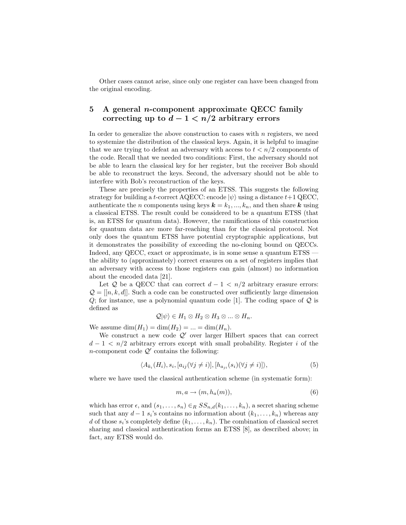Other cases cannot arise, since only one register can have been changed from the original encoding.

# 5 A general *n*-component approximate QECC family correcting up to  $d-1 < n/2$  arbitrary errors

In order to generalize the above construction to cases with  $n$  registers, we need to systemize the distribution of the classical keys. Again, it is helpful to imagine that we are trying to defeat an adversary with access to  $t < n/2$  components of the code. Recall that we needed two conditions: First, the adversary should not be able to learn the classical key for her register, but the receiver Bob should be able to reconstruct the keys. Second, the adversary should not be able to interfere with Bob's reconstruction of the keys.

These are precisely the properties of an ETSS. This suggests the following strategy for building a t-correct AQECC: encode  $|\psi\rangle$  using a distance  $t+1$  QECC, authenticate the *n* components using keys  $k = k_1, ..., k_n$ , and then share k using a classical ETSS. The result could be considered to be a quantum ETSS (that is, an ETSS for quantum data). However, the ramifications of this construction for quantum data are more far-reaching than for the classical protocol. Not only does the quantum ETSS have potential cryptographic applications, but it demonstrates the possibility of exceeding the no-cloning bound on QECCs. Indeed, any QECC, exact or approximate, is in some sense a quantum ETSS the ability to (approximately) correct erasures on a set of registers implies that an adversary with access to those registers can gain (almost) no information about the encoded data [21].

Let Q be a QECC that can correct  $d - 1 < n/2$  arbitrary erasure errors:  $\mathcal{Q} = [[n, k, d]]$ . Such a code can be constructed over sufficiently large dimension  $Q$ ; for instance, use a polynomial quantum code [1]. The coding space of  $Q$  is defined as

$$
\mathcal{Q}|\psi\rangle \in H_1 \otimes H_2 \otimes H_3 \otimes \ldots \otimes H_n.
$$

We assume  $\dim(H_1) = \dim(H_2) = \ldots = \dim(H_n)$ .

We construct a new code  $Q'$  over larger Hilbert spaces that can correct  $d-1 < n/2$  arbitrary errors except with small probability. Register i of the *n*-component code  $Q'$  contains the following:

$$
\langle A_{k_i}(H_i), s_i, [a_{ij}(\forall j \neq i)], [h_{a_{ji}}(s_i)(\forall j \neq i)] \rangle,
$$
\n
$$
(5)
$$

where we have used the classical authentication scheme (in systematic form):

$$
m, a \to (m, h_a(m)), \tag{6}
$$

which has error  $\epsilon$ , and  $(s_1, \ldots, s_n) \in_R SS_{n,d}(k_1, \ldots, k_n)$ , a secret sharing scheme such that any  $d-1$   $s_i$ 's contains no information about  $(k_1, \ldots, k_n)$  whereas any d of those  $s_i$ 's completely define  $(k_1, \ldots, k_n)$ . The combination of classical secret sharing and classical authentication forms an ETSS [8], as described above; in fact, any ETSS would do.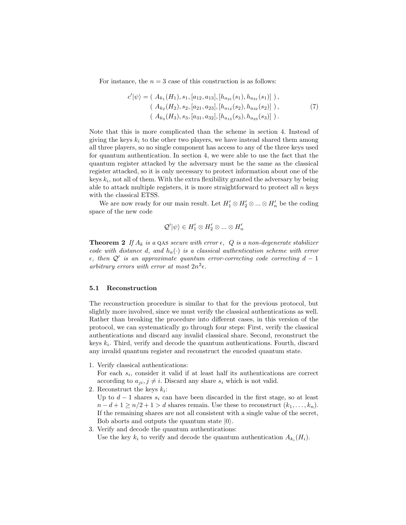For instance, the  $n = 3$  case of this construction is as follows:

$$
c'|\psi\rangle = (A_{k_1}(H_1), s_1, [a_{12}, a_{13}], [h_{a_{21}}(s_1), h_{a_{31}}(s_1)] ),(A_{k_2}(H_2), s_2, [a_{21}, a_{23}], [h_{a_{12}}(s_2), h_{a_{32}}(s_2)] ),(A_{k_3}(H_3), s_3, [a_{31}, a_{32}], [h_{a_{13}}(s_3), h_{a_{23}}(s_3)] ).
$$
\n(7)

Note that this is more complicated than the scheme in section 4. Instead of giving the keys  $k_i$  to the other two players, we have instead shared them among all three players, so no single component has access to any of the three keys used for quantum authentication. In section 4, we were able to use the fact that the quantum register attacked by the adversary must be the same as the classical register attacked, so it is only necessary to protect information about one of the keys  $k_i$ , not all of them. With the extra flexibility granted the adversary by being able to attack multiple registers, it is more straightforward to protect all  $n$  keys with the classical ETSS.

We are now ready for our main result. Let  $H'_1 \otimes H'_2 \otimes ... \otimes H'_n$  be the coding space of the new code

$$
\mathcal{Q}'|\psi\rangle \in H'_1 \otimes H'_2 \otimes \ldots \otimes H'_n
$$

**Theorem 2** If  $A_k$  is a QAS secure with error  $\epsilon$ , Q is a non-degenerate stabilizer code with distance d, and  $h_a(\cdot)$  is a classical authentication scheme with error  $\epsilon$ , then Q' is an approximate quantum error-correcting code correcting  $d-1$ arbitrary errors with error at most  $2n^2\epsilon$ .

#### 5.1 Reconstruction

The reconstruction procedure is similar to that for the previous protocol, but slightly more involved, since we must verify the classical authentications as well. Rather than breaking the procedure into different cases, in this version of the protocol, we can systematically go through four steps: First, verify the classical authentications and discard any invalid classical share. Second, reconstruct the keys  $k_i$ . Third, verify and decode the quantum authentications. Fourth, discard any invalid quantum register and reconstruct the encoded quantum state.

1. Verify classical authentications:

For each  $s_i$ , consider it valid if at least half its authentications are correct according to  $a_{ji}, j \neq i$ . Discard any share  $s_i$  which is not valid.

- 2. Reconstruct the keys  $k_i$ :
	- Up to  $d-1$  shares  $s_i$  can have been discarded in the first stage, so at least  $n-d+1 \geq n/2+1 > d$  shares remain. Use these to reconstruct  $(k_1, \ldots, k_n)$ . If the remaining shares are not all consistent with a single value of the secret, Bob aborts and outputs the quantum state  $|0\rangle$ .
- 3. Verify and decode the quantum authentications: Use the key  $k_i$  to verify and decode the quantum authentication  $A_{k_i}(H_i)$ .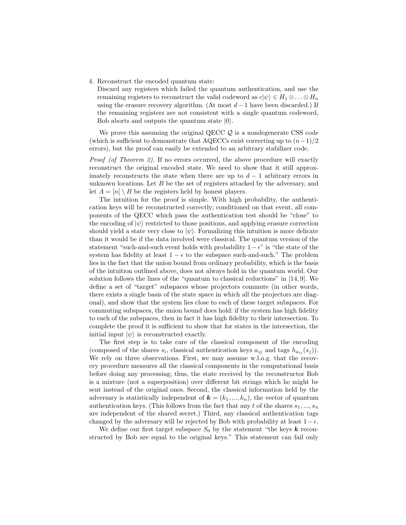4. Reconstruct the encoded quantum state:

Discard any registers which failed the quantum authentication, and use the remaining registers to reconstruct the valid codeword as  $c|\psi\rangle \in H_1 \otimes \ldots \otimes H_n$ using the erasure recovery algorithm. (At most  $d-1$  have been discarded.) If the remaining registers are not consistent with a single quantum codeword, Bob aborts and outputs the quantum state  $|0\rangle$ .

We prove this assuming the original QECC  $\mathcal{Q}$  is a nondegenerate CSS code (which is sufficient to demonstrate that AQECCs exist correcting up to  $(n-1)/2$ errors), but the proof can easily be extended to an arbitrary stabilizer code.

Proof (of Theorem 2). If no errors occurred, the above procedure will exactly reconstruct the original encoded state. We need to show that it still approximately reconstructs the state when there are up to  $d-1$  arbitrary errors in unknown locations. Let  $B$  be the set of registers attacked by the adversary, and let  $A = [n] \setminus B$  be the registers held by honest players.

The intuition for the proof is simple. With high probability, the authentication keys will be reconstructed correctly; conditioned on that event, all components of the QECC which pass the authentication test should be "close" to the encoding of  $|\psi\rangle$  restricted to those positions, and applying erasure correction should yield a state very close to  $|\psi\rangle$ . Formalizing this intuition is more delicate than it would be if the data involved were classical. The quantum version of the statement "such-and-such event holds with probability  $1 - \epsilon$ " is "the state of the system has fidelity at least  $1 - \epsilon$  to the subspace such-and-such." The problem lies in the fact that the union bound from ordinary probability, which is the basis of the intuition outlined above, does not always hold in the quantum world. Our solution follows the lines of the "quantum to classical reductions" in [14, 9]. We define a set of "target" subspaces whose projectors commute (in other words, there exists a single basis of the state space in which all the projectors are diagonal), and show that the system lies close to each of these target subspaces. For commuting subspaces, the union bound does hold: if the system has high fidelity to each of the subspaces, then in fact it has high fidelity to their intersection. To complete the proof it is sufficient to show that for states in the intersection, the initial input  $|\psi\rangle$  is reconstructed exactly.

The first step is to take care of the classical component of the encoding (composed of the shares  $s_i$ , classical authentication keys  $a_{ij}$  and tags  $h_{a_{ij}}(s_j)$ ). We rely on three observations. First, we may assume w.l.o.g. that the recovery procedure measures all the classical components in the computational basis before doing any processing; thus, the state received by the reconstructor Bob is a mixture (not a superposition) over different bit strings which he might be sent instead of the original ones. Second, the classical information held by the adversary is statistically independent of  $\mathbf{k} = (k_1, ..., k_n)$ , the vector of quantum authentication keys. (This follows from the fact that any t of the shares  $s_1, ..., s_n$ are independent of the shared secret.) Third, any classical authentication tags changed by the adversary will be rejected by Bob with probability at least  $1-\epsilon$ .

We define our first target subspace  $S_0$  by the statement "the keys **k** reconstructed by Bob are equal to the original keys." This statement can fail only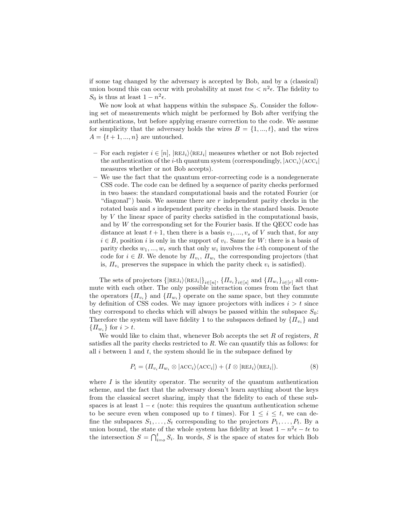if some tag changed by the adversary is accepted by Bob, and by a (classical) union bound this can occur with probability at most  $tn\epsilon < n^2\epsilon$ . The fidelity to  $S_0$  is thus at least  $1 - n^2 \epsilon$ .

We now look at what happens within the subspace  $S_0$ . Consider the following set of measurements which might be performed by Bob after verifying the authentications, but before applying erasure correction to the code. We assume for simplicity that the adversary holds the wires  $B = \{1, ..., t\}$ , and the wires  $A = \{t+1, ..., n\}$  are untouched.

- For each register  $i \in [n]$ ,  $|\text{REJ}_i\rangle \langle \text{REJ}_i|$  measures whether or not Bob rejected the authentication of the *i*-th quantum system (correspondingly,  $|ACC_i\rangle \langle ACC_i|$ measures whether or not Bob accepts).
- We use the fact that the quantum error-correcting code is a nondegenerate CSS code. The code can be defined by a sequence of parity checks performed in two bases: the standard computational basis and the rotated Fourier (or "diagonal") basis. We assume there are  $r$  independent parity checks in the rotated basis and s independent parity checks in the standard basis. Denote by  $V$  the linear space of parity checks satisfied in the computational basis. and by  $W$  the corresponding set for the Fourier basis. If the QECC code has distance at least  $t + 1$ , then there is a basis  $v_1, ..., v_s$  of V such that, for any  $i \in B$ , position i is only in the support of  $v_i$ . Same for W: there is a basis of parity checks  $w_1, ..., w_r$  such that only  $w_i$  involves the *i*-th component of the code for  $i \in B$ . We denote by  $\prod_{v_i}$ ,  $\prod_{w_i}$  the corresponding projectors (that is,  $\Pi_{v_i}$  preserves the supspace in which the parity check  $v_i$  is satisfied).

The sets of projectors  $\{|REJ_i\rangle\langle REJ_i|\}_{i\in[n]}, \{H_{v_i}\}_{i\in[s]}$  and  $\{H_{w_i}\}_{i\in[r]}$  all commute with each other. The only possible interaction comes from the fact that the operators  $\{\Pi_{v_i}\}\$  and  $\{\Pi_{w_i}\}\$  operate on the same space, but they commute by definition of CSS codes. We may ignore projectors with indices  $i > t$  since they correspond to checks which will always be passed within the subspace  $S_0$ : Therefore the system will have fidelity 1 to the subspaces defined by  $\{H_{v_i}\}\$ and  $\{\Pi_{w_i}\}\$ for  $i > t$ .

We would like to claim that, whenever Bob accepts the set  $R$  of registers,  $R$ satisfies all the parity checks restricted to R. We can quantify this as follows: for all i between 1 and t, the system should lie in the subspace defined by

$$
P_i = (I\!I_{v_i} I\!I_{w_i} \otimes |\text{ACC}_i\rangle\langle \text{ACC}_i|) + (I \otimes |\text{REJ}_i\rangle\langle \text{REJ}_i|). \tag{8}
$$

where  $I$  is the identity operator. The security of the quantum authentication scheme, and the fact that the adversary doesn't learn anything about the keys from the classical secret sharing, imply that the fidelity to each of these subspaces is at least  $1 - \epsilon$  (note: this requires the quantum authentication scheme to be secure even when composed up to t times). For  $1 \leq i \leq t$ , we can define the subspaces  $S_1, \ldots, S_t$  corresponding to the projectors  $P_1, \ldots, P_t$ . By a union bound, the state of the whole system has fidelity at least  $1 - n^2 \epsilon - t \epsilon$  to the intersection  $S = \bigcap_{i=0}^{t} S_i$ . In words, S is the space of states for which Bob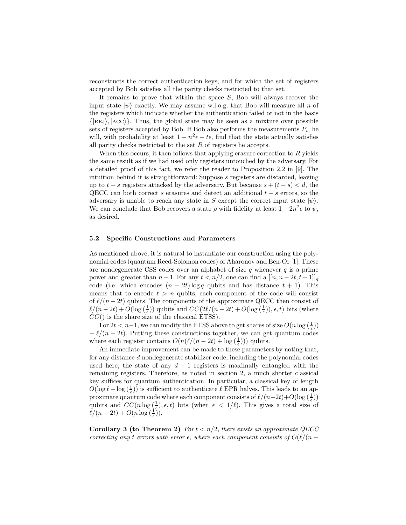reconstructs the correct authentication keys, and for which the set of registers accepted by Bob satisfies all the parity checks restricted to that set.

It remains to prove that within the space  $S$ , Bob will always recover the input state  $|\psi\rangle$  exactly. We may assume w.l.o.g. that Bob will measure all n of the registers which indicate whether the authentication failed or not in the basis  $\{|\text{REJ}\rangle, |\text{ACC}\rangle\}$ . Thus, the global state may be seen as a mixture over possible sets of registers accepted by Bob. If Bob also performs the measurements  $P_i$ , he will, with probability at least  $1 - n^2 \epsilon - t \epsilon$ , find that the state actually satisfies all parity checks restricted to the set  $R$  of registers he accepts.

When this occurs, it then follows that applying erasure correction to  $R$  yields the same result as if we had used only registers untouched by the adversary. For a detailed proof of this fact, we refer the reader to Proposition 2.2 in [9]. The intuition behind it is straightforward: Suppose s registers are discarded, leaving up to  $t - s$  registers attacked by the adversary. But because  $s + (t - s) < d$ , the QECC can both correct s erasures and detect an additional  $t - s$  errors, so the adversary is unable to reach any state in S except the correct input state  $|\psi\rangle$ . We can conclude that Bob recovers a state  $\rho$  with fidelity at least  $1 - 2n^2 \epsilon$  to  $\psi$ , as desired.

#### 5.2 Specific Constructions and Parameters

As mentioned above, it is natural to instantiate our construction using the polynomial codes (quantum Reed-Solomon codes) of Aharonov and Ben-Or [1]. These are nondegenerate CSS codes over an alphabet of size  $q$  whenever  $q$  is a prime power and greater than  $n-1$ . For any  $t < n/2$ , one can find a  $[[n, n-2t, t+1]]_q$ code (i.e. which encodes  $(n - 2t) \log q$  qubits and has distance  $t + 1$ ). This means that to encode  $\ell > n$  qubits, each component of the code will consist of  $\ell/(n - 2t)$  qubits. The components of the approximate QECC then consist of  $\ell/(n-2t) + O(\log(\frac{1}{\epsilon}))$  qubits and  $CC(2\ell/(n-2t) + O(\log(\frac{1}{\epsilon}))$ ,  $\epsilon, t)$  bits (where  $CC()$  is the share size of the classical ETSS).

For  $2t < n-1$ , we can modify the ETSS above to get shares of size  $O(n \log(\frac{1}{\epsilon}))$  $+\ell/(n - 2t)$ . Putting these constructions together, we can get quantum codes where each register contains  $O(n(\ell/(n - 2t) + \log(\frac{1}{\epsilon})))$  qubits.

An immediate improvement can be made to these parameters by noting that, for any distance d nondegenerate stabilizer code, including the polynomial codes used here, the state of any  $d-1$  registers is maximally entangled with the remaining registers. Therefore, as noted in section 2, a much shorter classical key suffices for quantum authentication. In particular, a classical key of length  $O(\log \ell + \log (\frac{1}{\epsilon}))$  is sufficient to authenticate  $\ell$  EPR halves. This leads to an approximate quantum code where each component consists of  $\ell/(n-2t)+O(\log(\frac{1}{\epsilon}))$ qubits and  $CC(n \log(\frac{1}{\epsilon}), \epsilon, t)$  bits (when  $\epsilon < 1/\ell$ ). This gives a total size of  $\ell/(n-2t) + O(n \log(\frac{1}{\epsilon})).$ 

**Corollary 3 (to Theorem 2)** For  $t < n/2$ , there exists an approximate QECC correcting any t errors with error  $\epsilon$ , where each component consists of  $O(\ell/(n -$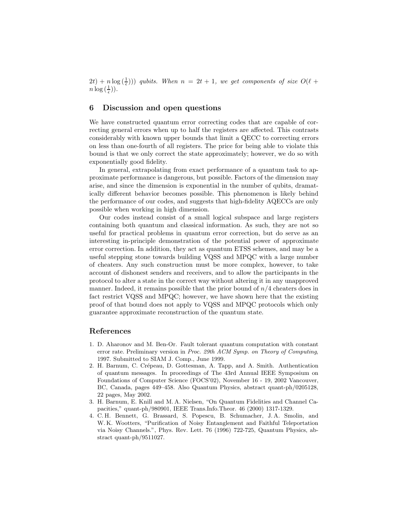$(2t) + n \log(\frac{1}{\epsilon}))$  qubits. When  $n = 2t + 1$ , we get components of size  $O(\ell +$  $n\log\left(\frac{1}{\epsilon}\right)).$ 

# 6 Discussion and open questions

We have constructed quantum error correcting codes that are capable of correcting general errors when up to half the registers are affected. This contrasts considerably with known upper bounds that limit a QECC to correcting errors on less than one-fourth of all registers. The price for being able to violate this bound is that we only correct the state approximately; however, we do so with exponentially good fidelity.

In general, extrapolating from exact performance of a quantum task to approximate performance is dangerous, but possible. Factors of the dimension may arise, and since the dimension is exponential in the number of qubits, dramatically different behavior becomes possible. This phenomenon is likely behind the performance of our codes, and suggests that high-fidelity AQECCs are only possible when working in high dimension.

Our codes instead consist of a small logical subspace and large registers containing both quantum and classical information. As such, they are not so useful for practical problems in quantum error correction, but do serve as an interesting in-principle demonstration of the potential power of approximate error correction. In addition, they act as quantum ETSS schemes, and may be a useful stepping stone towards building VQSS and MPQC with a large number of cheaters. Any such construction must be more complex, however, to take account of dishonest senders and receivers, and to allow the participants in the protocol to alter a state in the correct way without altering it in any unapproved manner. Indeed, it remains possible that the prior bound of  $n/4$  cheaters does in fact restrict VQSS and MPQC; however, we have shown here that the existing proof of that bound does not apply to VQSS and MPQC protocols which only guarantee approximate reconstruction of the quantum state.

### References

- 1. D. Aharonov and M. Ben-Or. Fault tolerant quantum computation with constant error rate. Preliminary version in Proc. 29th ACM Symp. on Theory of Computing, 1997. Submitted to SIAM J. Comp., June 1999.
- 2. H. Barnum, C. Crépeau, D. Gottesman, A. Tapp, and A. Smith. Authentication of quantum messages. In proceedings of The 43rd Annual IEEE Symposium on Foundations of Computer Science (FOCS'02), November 16 - 19, 2002 Vancouver, BC, Canada, pages 449–458. Also Quantum Physics, abstract quant-ph/0205128, 22 pages, May 2002.
- 3. H. Barnum, E. Knill and M. A. Nielsen, "On Quantum Fidelities and Channel Capacities," quant-ph/980901, IEEE Trans.Info.Theor. 46 (2000) 1317-1329.
- 4. C. H. Bennett, G. Brassard, S. Popescu, B. Schumacher, J. A. Smolin, and W. K. Wootters, "Purification of Noisy Entanglement and Faithful Teleportation via Noisy Channels.", Phys. Rev. Lett. 76 (1996) 722-725, Quantum Physics, abstract quant-ph/9511027.